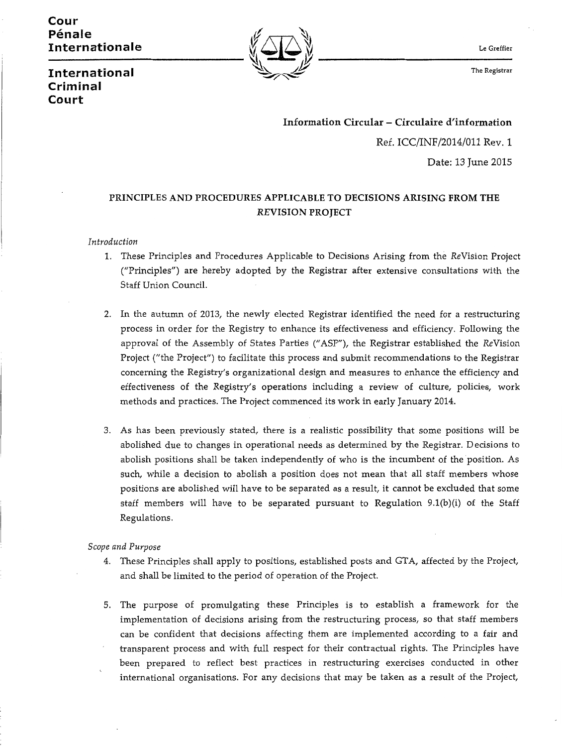## **Cour Pénale**  $\sqrt{1\wedge\sqrt{1}}$ **Internationale**  $\mathbb{V}/\mathbb{V}/\mathbb{V}$  be Greffier



The Registrar

# **International Criminal Court**

Ref. ICC/INF/2014/011 Rev. 1 Date: 13 June 2015 Information Circular - Circulaire d'information

## PRINCIPLES AND PROCEDURES APPLICABLE TO DECISIONS ARISING FROM THE REVISION PROJECT

#### *Introduction*

- 1. These Principles and Procedures Applicable to Decisions Arising from the ReVision Project ("Principles") are hereby adopted by the Registrar after extensive consultations with the Staff Union Council.
- 2. In the autumn of 20l3, the newly elected Registrar identified the need for a restructuring process in order for the Registry to enhance its effectiveness and efficiency. Following the approval of the Assembly of States Parties ("ASP"), the Registrar established the *ReVision* Project ("the Project") to facilitate this process and submit recommendations to the Registrar concerning the Registry's organizational design and measures to enhance the efficiency and effectiveness of the Registry's operations including a review of culture, policies, work methods and practices. The Project commenced its work in early January 2014.
- 3. As has been previously stated, there is a realistic possibility that some positions will be abolished due to changes in operational needs as determined by the Registrar. Decisions to abolish positions shall be taken independently of who is the incumbent of the position. As such, while a decision to abolish a position does not mean that all staff members whose positions are abolished will have to be separated as a result, it cannot be excluded that some staff members will have to be separated pursuant to Regulation 9.1(b)(i) of the Staff Regulations.

#### *Scope and Purpose*

- 4. These Principles shall apply to positions, established posts and GTA, affected by the Project, and shall be limited to the period of operation of the Project.
- S. The purpose of promulgating these Principles is to establish a framework for the implementation of decisions arising from the restructuring process, so that staff members can be confident that decisions affecting them are implemented according to a fair and transparent process and with full respect for their contractual rights. The Principles have been prepared to reflect best practices in restructuring exercises conducted in other international organisations. For any decisions that may be taken as a result of the Project,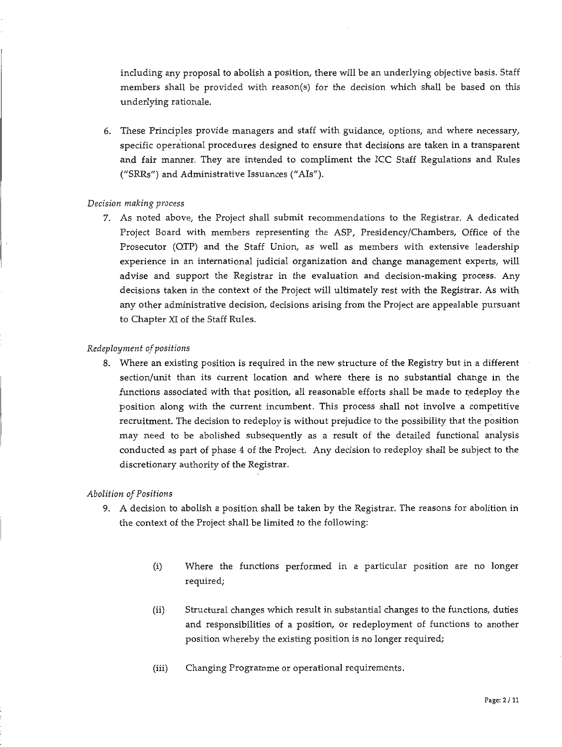including any proposal to abolish a position, there will be an underlying objective basis. Staff members shall be provided with reason(s) for the decision which shall be based on this underlying rationale.

6. These Principles provide managers and staff with guidance, options, and where necessary, specific operational procedures designed to ensure that decisions are taken in a transparent and fair manner. They are intended to compliment the ICC Staff Regulations and Rules *("SRRs")* and Administrative Issuances ("*AIs").*

#### *Decision making process*

7. As noted above, the Project shall submit recommendations to the Registrar. A dedicated Project Board with members representing the ASP, Presidency/Chambers, Office of the Prosecutor (OTP) and the Staff Union, as well as members with extensive leadership experience in an international judicial organization and change management experts, will advise and support the Registrar in the evaluation and decision-making process. Any decisions taken in the context of the Project will ultimately rest with the Registrar. As with any other administrative decision, decisions arising from the Project are appealable pursuant to Chapter XI of the Staff Rules.

#### *Redeployment of positions*

8. Where an existing position is required in the new structure of the Registry but in a different section/unit than its current location and where there is no substantial change in the functions associated with that position, all reasonable efforts shall be made to redeploy the position along with the current incumbent. This process shall not involve a competitive recruitment. The decision to redeploy is without prejudice to the possibility that the position may need to be abolished subsequently as a result of the detailed functional analysis conducted as part of phase 4 of the Project. Any decision to redeploy shall be subject to the discretionary authority of the Registrar.

#### *Abolition of Positions*

- 9. A decision to abolish a position shall be taken by the Registrar. The reasons for abolition in the context of the Project shall be limited to the following:
	- (i) Where the functions performed in a particular position are no longer required;
	- (ii) Structural changes which result in substantial changes to the functions, duties and responsibilities of a position, or redeployment of functions to another position whereby the existing position is no longer required;
	- (iii) Changing Programme or operational requirements.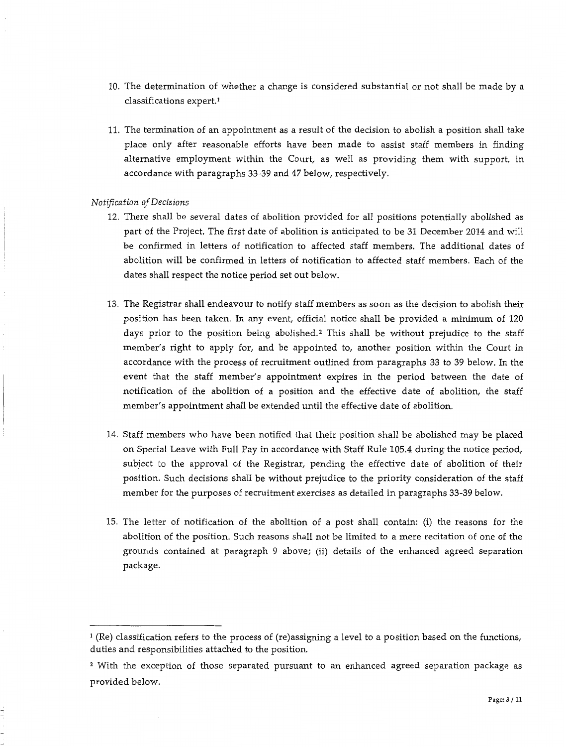- 10. The determination of whether a change is considered substantial or not shall be made by a classifications expert."
- 11. The termination of an appointment as a result of the decision to abolish a position shall take place only after reasonable efforts have been made to assist staff members in finding alternative employment within the Court, as well as providing them with support, in accordance with paragraphs 33-39 and 47 below, respectively.

#### *Notification of Decisions*

- 12. There shall be several dates of abolition provided for all positions potentially abolished as part of the Project. The first date of abolition is anticipated to be 31 December 2014 and will be confirmed in letters of notification to affected staff members. The additional dates of abolition will be confirmed in letters of notification to affected staff members. Each of the dates shall respect the notice period set out below.
- 13. The Registrar shall endeavour to notify staff members as soon as the decision to abolish their position has been taken. In any event, official notice shall be provided a minimum of 120 days prior to the position being abolished.<sup>2</sup> This shall be without prejudice to the staff member's right to apply for, and be appointed to, another position within the Court in accordance with the process of recruitment outlined from paragraphs 33 to 39 below. In the event that the staff member's appointment expires in the period between the date of notification of the abolition of a position and the effective date of abolition, the staff member's appointment shall be extended until the effective date of abolition.
- 14. Staff members who have been notified that their position shall be abolished may be placed on Special Leave with Full Pay in accordance with Staff Rule 105.4 during the notice period, subject to the approval of the Registrar, pending the effective date of abolition of their position. Such decisions shall be without prejudice to the priority consideration of the staff member for the purposes of recruitment exercises as detailed in paragraphs 33-39 below.
- 15. The letter of notification of the abolition of a post shall contain: (i) the reasons for the abolition of the position. Such reasons shall not be limited to a mere recitation of one of the grounds contained at paragraph 9 above; (ii) details of the enhanced agreed separation package.

 $\rm ^1$  (Re) classification refers to the process of (re)assigning a level to a position based on the functions, duties and responsibilities attached to the position.

<sup>2</sup> With the exception of those separated pursuant to an enhanced agreed separation package as provided below.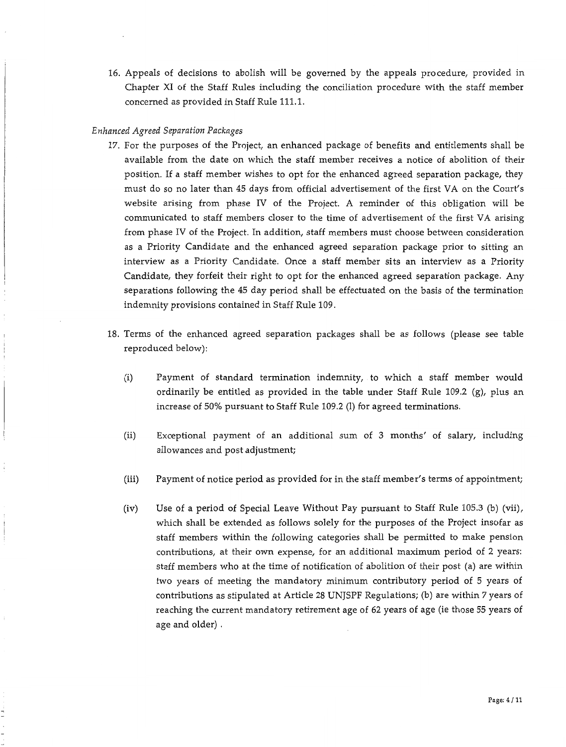16. Appeals of decisions to abolish will be governed by the appeals procedure, provided in Chapter XI of the Staff Rules including the conciliation procedure with the staff member concerned as provided in Staff Rule 111.1.

### *Enhanced Agreed Separation Packages*

- 17. For the purposes of the Project, an enhanced package of benefits and entitlements shall be available from the date on which the staff member receives a notice of abolition of their position. If a staff member wishes to opt for the enhanced agreed separation package, they must do so no later than 45 days from official advertisement of the first VA on the Court's website arising from phase IV of the Project. A reminder of this obligation will be communicated to staff members closer to the time of advertisement of the first VA arising from phase IV of the Project. In addition, staff members must choose between consideration as a Priority Candidate and the enhanced agreed separation package prior to sitting an interview as a Priority Candidate. Once a staff member sits an interview as a Priority Candidate, they forfeit their right to opt for the enhanced agreed separation package. Any separations following the 45 day period shall be effectuated on the basis of the termination indemnity provisions contained in Staff Rule 109.
- 18. Terms of the enhanced agreed separation packages shall be as follows (please see table reproduced below):
	- (i) Payment of standard termination indemnity, to which a staff member would ordinarily be entitled as provided in the table under Staff Rule 109.2 (g), plus an increase of 50% pursuant to Staff Rule 109.2 (1) for agreed terminations.
	- (ii) Exceptional payment of an additional sum of 3 months' of salary, including allowances and post adjustment;
	- (iii) Payment of notice period as provided for in the staff member's terms of appointment;
	- (iv) Use of a period of Special Leave Without Pay pursuant to Staff Rule 105.3 (b) (vii), which shall be extended as follows solely for the purposes of the Project insofar as staff members within the following categories shall be permitted to make pension contributions, at their own expense, for an additional maximum period of 2 years: staff members who at the time of notification of abolition of their post (a) are within two years of meeting the mandatory minimum contributory period of 5 years of contributions as stipulated **at** Article 28 UNJSPFRegulations; (b) are within 7 years of reaching the current mandatory retirement age of 62 years of age (ie those 55 years of age and older) .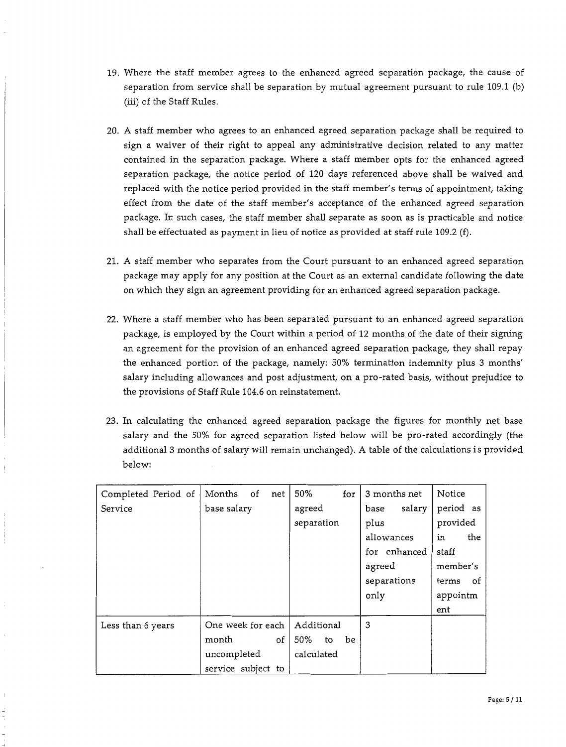- 19. Where the staff member agrees to the enhanced agreed separation package, the cause of separation from service shall be separation by mutual agreement pursuant to rule 109.1 (b) (iii) of the Staff Rules.
- 20. A staff member who agrees to an enhanced agreed separation package shall be required to sign a waiver of their right to appeal any administrative decision related to any matter contained in the separation package. Where a staff member opts for the enhanced agreed separation package, the notice period of 120 days referenced above shall be waived and replaced with the notice period provided in the staff member's terms of appointment, taking effect from the date of the staff member's acceptance of the enhanced agreed separation package. In such cases, the staff member shall separate as soon as is practicable and notice shall be effectuated as payment in lieu of notice as provided at staff rule 109.2 (f).
- 21. A staff member who separates from the Court pursuant to an enhanced agreed separation package may apply for any position at the Court as an external candidate following the date on which they sign an agreement providing for an enhanced agreed separation package.
- 22. Where a staff member who has been separated pursuant to an enhanced agreed separation package, is employed by the Court within a period of 12 months of the date of their signing an agreement for the provision of an enhanced agreed separation package, they shall repay the enhanced portion of the package, namely: 50% termination indemnity plus 3 months' salary including allowances and post adjustment, on a pro-rated basis, without prejudice to the provisions of Staff Rule 104.6 on reinstatement.
- 23. In calculating the enhanced agreed separation package the figures for monthly net base salary and the 50% for agreed separation listed below will be pro-rated accordingly (the additional 3 months of salary will remain unchanged). A table of the calculations is provided below:

| Completed Period of | Months<br>of<br>net      | 50%<br>for      | 3 months net   | Notice      |
|---------------------|--------------------------|-----------------|----------------|-------------|
| Service             | base salary              | agreed          | salary<br>base | period as   |
|                     |                          | separation      | plus           | provided    |
|                     |                          |                 | allowances     | the<br>in   |
|                     |                          |                 | for enhanced   | staff       |
|                     |                          |                 | agreed         | member's    |
|                     |                          |                 | separations    | of<br>terms |
|                     |                          |                 | only           | appointm    |
|                     |                          |                 |                | ent         |
| Less than 6 years   | One week for each        | Additional      | 3              |             |
|                     | of <sub>1</sub><br>month | 50%<br>be<br>to |                |             |
|                     | uncompleted              | calculated      |                |             |
|                     | service subject to       |                 |                |             |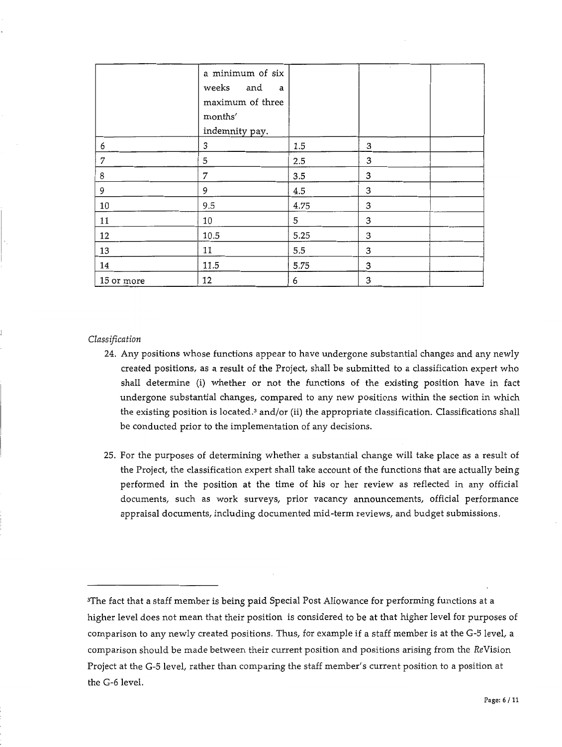|            | a minimum of six<br>weeks<br>and<br>a<br>maximum of three<br>months'<br>indemnity pay. |      | $\sim$ |  |
|------------|----------------------------------------------------------------------------------------|------|--------|--|
| 6          | 3                                                                                      | 1.5  | 3      |  |
| 7          | 5                                                                                      | 2.5  | 3      |  |
| 8          | 7                                                                                      | 3.5  | 3      |  |
| 9          | 9                                                                                      | 4.5  | 3      |  |
| 10         | 9.5                                                                                    | 4.75 | 3      |  |
| 11         | 10                                                                                     | 5    | 3      |  |
| 12         | 10.5                                                                                   | 5.25 | 3      |  |
| 13         | 11                                                                                     | 5.5  | 3      |  |
| 14         | 11.5                                                                                   | 5.75 | 3      |  |
| 15 or more | 12                                                                                     | 6    | 3      |  |

#### *Classification*

- 24. Any positions whose functions appear to have undergone substantial changes and any newly created positions, as a result of the Project, shall be submitted to a classification expert who shall determine (i) whether or not the functions of the existing position have in fact undergone substantial changes, compared to any new positions within the section in which the existing position is located.<sup>3</sup> and/or (ii) the appropriate classification. Classifications shall be conducted prior to the implementation of any decisions.
- 25. For the purposes of determining whether a substantial change will take place as a result of the Project, the classification expert shall take account of the functions that are actually being performed in the position at the time of his or her review as reflected in any official documents, such as work surveys, prior vacancy announcements, official performance appraisal documents, including documented mid-term reviews, and budget submissions.

<sup>&</sup>lt;sup>3</sup>The fact that a staff member is being paid Special Post Allowance for performing functions at a higher level does not mean that their position is considered to be at that higher level for purposes of comparison to any newly created positions. Thus, for example if a staff member is at the G-5 level, a comparison should be made between their current position and positions arising from the ReVision Project at the G-5 level, rather than comparing the staff member's current position to a position at the G-6 level.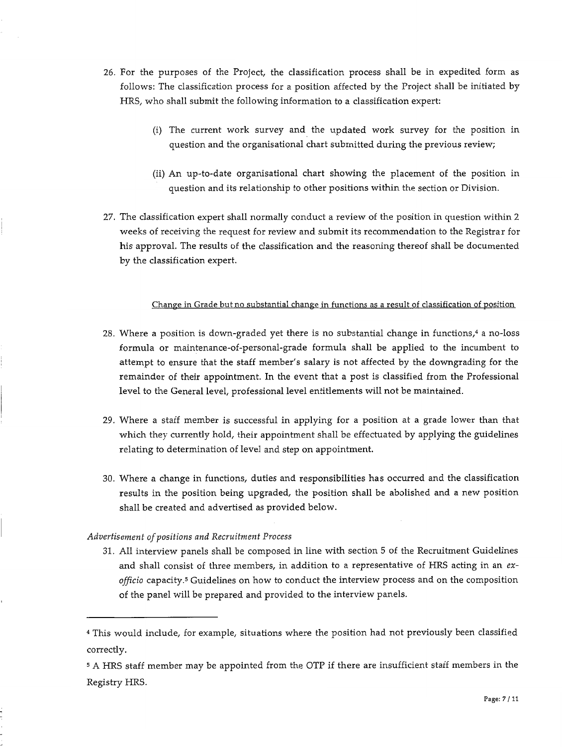- 26. For the purposes of the Project, the classification process shall be in expedited form as follows: The classification process for a position affected by the Project shall be initiated by HRS, who shall submit the following information to a classification expert:
	- (i) The current work survey and the updated work survey for the position in question and the organisational chart submitted during the previous review;
	- (ii) An up-to-date organisational chart showing the placement of the position in question and its relationship to other positions within the section or Division.
- 27. The classification expert shall normally conduct a review of the position in question within 2 weeks of receiving the request for review and submit its recommendation to the Registrar for his approval. The results of the classification and the reasoning thereof shall be documented by the classification expert.

### Change in Grade but no substantial change in functions as a result of classification of position

- 28. Where a position is down-graded yet there is no substantial change in functions, $4$  a no-loss formula or maintenance-of-personal-grade formula shall be applied to the incumbent to attempt to ensure that the staff member's salary is not affected by the downgrading for the remainder of their appointment. In the event that a post is classified from the Professional level to the General level, professional level entitlements will not be maintained.
- 29. Where a staff member is successful in applying for a position at a grade lower than that which they currently hold, their appointment shall be effectuated by applying the guidelines relating to determination of level and step on appointment.
- 30. Where a change in functions, duties and responsibilities has occurred and the classification results in the position being upgraded, the position shall be abolished and a new position shall be created and advertised as provided below.

## *Advertisement of positions and Recruitment Process*

31. All interview panels shall be composed in line with section 5 of the Recruitment Guidelines and shall consist of three members, in addition to a representative of HRS acting in an *ex*officio capacity.<sup>5</sup> Guidelines on how to conduct the interview process and on the composition of the panel will be prepared and provided to the interview panels.

<sup>4</sup> This would include, for example, situations where the position had not previously been classified correctly.

<sup>5</sup> A HRS staff member may be appointed from the OTP if there are insufficient staff members in the Registry HRS.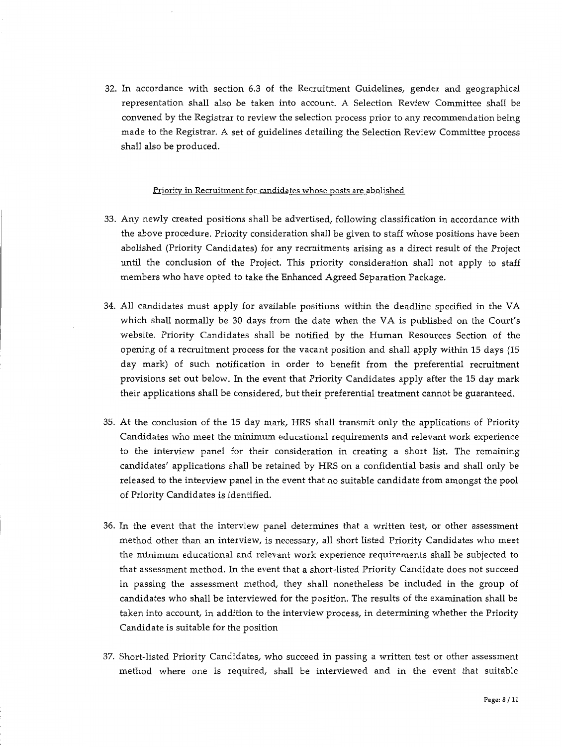32. In accordance with section 6.3 of the Recruitment Guidelines, gender and geographical representation shall also be taken into account. A Selection Review Committee shall be convened by the Registrar to review the selection process prior to any recommendation being made to the Registrar. A set of guidelines detailing the Selection Review Committee process shall also be produced.

#### Priority in Recruitment for candidates whose posts are abolished

- 33. Any newly created positions shall be advertised, following classification in accordance with the above procedure. Priority consideration shall be given to staff whose positions have been abolished (Priority Candidates) for any recruitments arising as a direct result of the Project until the conclusion of the Project. This priority consideration shall not apply to staff members who have opted to take the Enhanced Agreed Separation Package.
- 34. All candidates must apply for available positions within the deadline specified in the VA which shall normally be 30 days from the date when the VA is published on the Court's website. Priority Candidates shall be notified by the Human Resources Section of the opening of a recruitment process for the vacant position and shall apply within 15 days (15 day mark) of such notification in order to benefit from the preferential recruitment provisions set out below. In the event that Priority Candidates apply after the 15 day mark their applications shall be considered, but their preferential treatment cannot be guaranteed.
- 35. At the conclusion of the 15 day mark, HRS shall transmit only the applications of Priority Candidates who meet the minimum educational requirements and relevant work experience to the interview panel for their consideration in creating a short list. The remaining candidates' applications shall be retained by HRS on a confidential basis and shall only be released to the interview panel in the event that no suitable candidate from amongst the pool of Priority Candidates is identified.
- 36. In the event that the interview panel determines that a written test, or other assessment method other than an interview, is necessary, all short listed Priority Candidates who meet the minimum educational and relevant work experience requirements shall be subjected to that assessment method. In the event that a short-listed Priority Candidate does not succeed in passing the assessment method, they shall nonetheless be included in the group of candidates who shall be interviewed for the position. The results of the examination shall be taken into account, in addition to the interview process, in determining whether the Priority Candidate is suitable for the position
- 37. Short-listed Priority Candidates, who succeed in passing a written test or other assessment method where one is required, shall be interviewed and in the event that suitable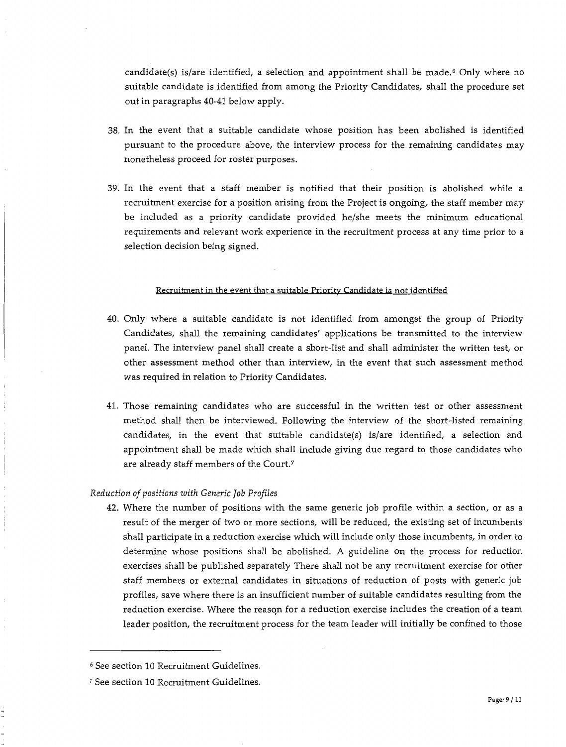candidate(s) is/are identified, a selection and appointment shall be made. $6$  Only where no suitable candidate is identified from among the Priority Candidates, shall the procedure set out in paragraphs 40-41 below apply.

- 38. In the event that a suitable candidate whose position has been abolished is identified pursuant to the procedure above, the interview process for the remaining candidates may nonetheless proceed for roster purposes.
- 39. In the event that a staff member is notified that their position is abolished while a recruitment exercise for a position arising from the Project is ongoing, the staff member may be included as a priority candidate provided he/she meets the minimum educational requirements and relevant work experience in the recruitment process at any time prior to a selection decision being signed.

#### Recruitment in the event that a suitable Priority Candidate is not identified

- 40. Only where a suitable candidate is not identified from amongst the group of Priority Candidates, shall the remaining candidates' applications be transmitted to the interview panel. The interview panel shall create a short-list and shall administer the written test, or other assessment method other than interview, in the event that such assessment method was required in relation to Priority Candidates.
- 41. Those remaining candidates who are successful in the written test or other assessment method shall then be interviewed. Following the interview of the short-listed remaining candidates, in the event that suitable candidate(s) is/are identified, a selection and appointment shall be made which shall include giving due regard to those candidates who are already staff members of the Court.<sup>7</sup>

#### *Reduction of positions with Generic Job Profiles*

42. Where the number of positions with the same generic job profile within a section, or as a result of the merger of two or more sections, will be reduced, the existing set of incumbents shall participate in a reduction exercise which will include only those incumbents, in order to determine whose positions shall be abolished. A guideline on the process for reduction exercises shall be published separately There shall not be any recruitment exercise for other staff members or external candidates in situations of reduction of posts with generic job profiles, save where there is an insufficient number of suitable candidates resulting from the reduction exercise. Where the reasqn for a reduction exercise includes the creation of a team leader position, the recruitment process for the team leader will initially be confined to those

<sup>6</sup> See section 10 Recruitment Guidelines.

<sup>7</sup> See section 10 Recruitment Guidelines.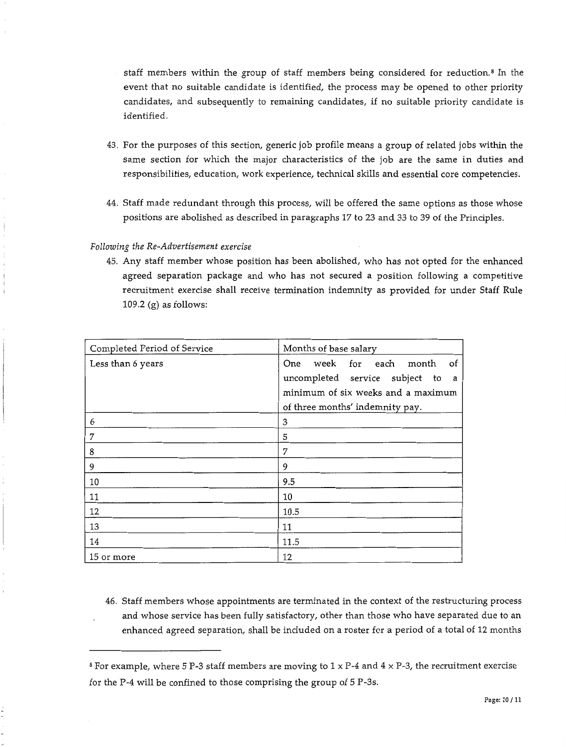staff members within the group of staff members being considered for reduction.<sup>8</sup> In the event that no suitable candidate is identified, the process may be opened to other priority candidates, and subsequently to remaining candidates, if no suitable priority candidate is identified.

- 43. For the purposes of this section, generic job profile means a group of related jobs within the same section for which the major characteristics of the job are the same in duties and responsibilities, education, work experience, technical skills and essential core competencies.
- 44. Staff made redundant through this process, will be offered the same options as those whose positions are abolished as described in paragraphs 17 to 23 and 33 to 39 of the Principles.

## *Following the Re-Advertisement exercise*

45. Any staff member whose position has been abolished, who has not opted for the enhanced agreed separation package and who has not secured a position following a competitive recruitment exercise shall receive termination indemnity as provided for under Staff Rule 109.2 (g) as follows:

| Completed Period of Service | Months of base salary               |  |  |  |
|-----------------------------|-------------------------------------|--|--|--|
| Less than 6 years           | One week for each month<br>of       |  |  |  |
|                             | uncompleted service subject to<br>a |  |  |  |
|                             | minimum of six weeks and a maximum  |  |  |  |
|                             | of three months' indemnity pay.     |  |  |  |
| 6                           | 3                                   |  |  |  |
| 7                           | 5                                   |  |  |  |
| 8                           | 7                                   |  |  |  |
| 9                           | 9                                   |  |  |  |
| 10                          | 9.5                                 |  |  |  |
| 11                          | 10                                  |  |  |  |
| 12                          | 10.5                                |  |  |  |
| 13                          | 11                                  |  |  |  |
| 14                          | 11.5                                |  |  |  |
| 15 or more                  | 12                                  |  |  |  |

46. Staff members whose appointments are terminated in the context of the restructuring process and whose service has been fully satisfactory, other than those who have separated due to an enhanced agreed separation, shall be included on a roster for a period of a total of 12 months

<sup>&</sup>lt;sup>8</sup> For example, where 5 P-3 staff members are moving to 1 x P-4 and 4 x P-3, the recruitment exercise for the P-4 will be confined to those comprising the group of 5 P-3s.